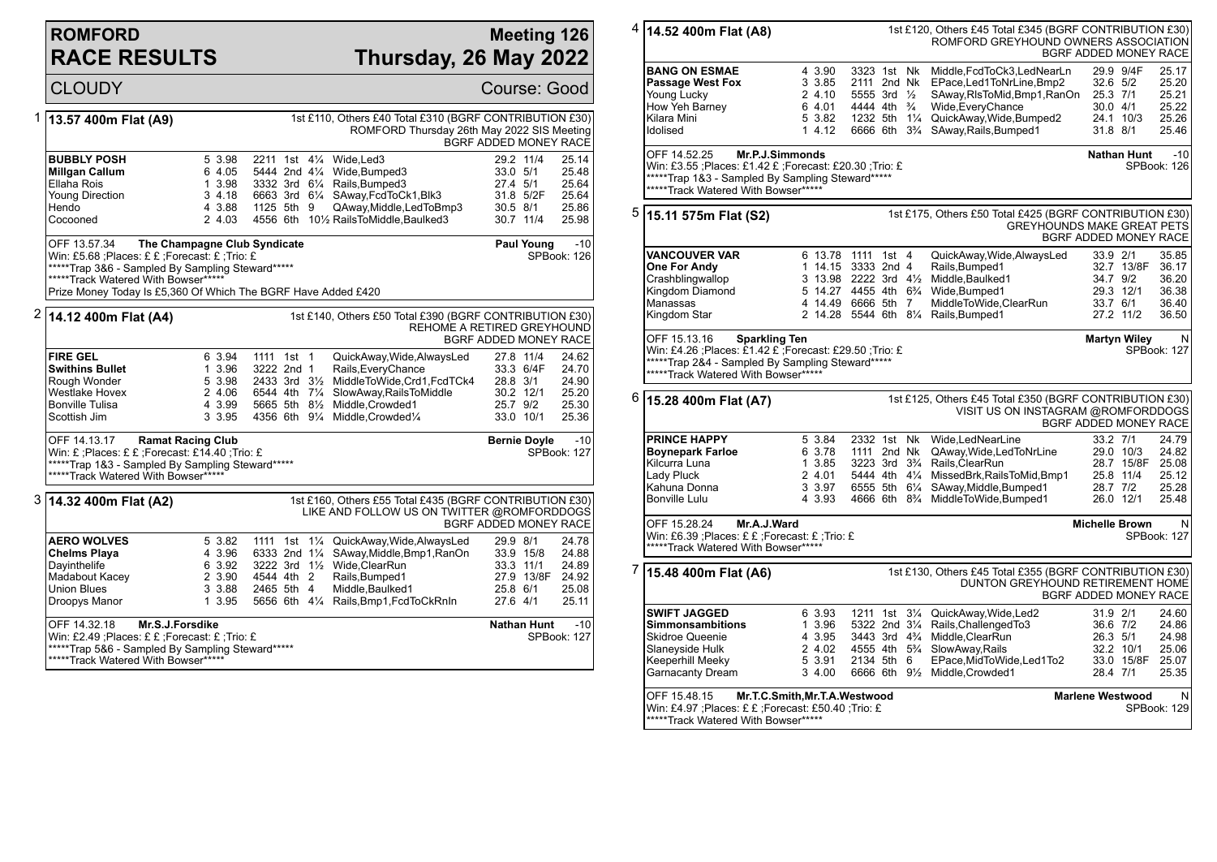## **ROMFORD RACE RESULTS**

## **Meeting 126 Thursday, 26 May 2022**

|                                                                                                                                                                                | <b>CLOUDY</b>                                                                                                                                                                                                             |                                                                                                                                                                          |                                                           |                                                                           |                       |                                                                                                                                                                                                           |                                  |                                                  | Course: Good                                       |
|--------------------------------------------------------------------------------------------------------------------------------------------------------------------------------|---------------------------------------------------------------------------------------------------------------------------------------------------------------------------------------------------------------------------|--------------------------------------------------------------------------------------------------------------------------------------------------------------------------|-----------------------------------------------------------|---------------------------------------------------------------------------|-----------------------|-----------------------------------------------------------------------------------------------------------------------------------------------------------------------------------------------------------|----------------------------------|--------------------------------------------------|----------------------------------------------------|
|                                                                                                                                                                                | 1 13.57 400m Flat (A9)                                                                                                                                                                                                    |                                                                                                                                                                          |                                                           |                                                                           |                       | 1st £110, Others £40 Total £310 (BGRF CONTRIBUTION £30)<br>ROMFORD Thursday 26th May 2022 SIS Meeting                                                                                                     |                                  |                                                  | BGRF ADDED MONEY RACE                              |
|                                                                                                                                                                                | <b>BUBBLY POSH</b><br>Millgan Callum<br>Ellaha Rois<br><b>Young Direction</b><br>Hendo<br>Cocooned                                                                                                                        |                                                                                                                                                                          | 5 3.98<br>6 4.05<br>1 3.98<br>3, 4.18<br>4 3.88<br>2 4.03 | 1125 5th 9                                                                |                       | 2211 1st 41/4 Wide. Led 3<br>5444 2nd 41/4 Wide, Bumped 3<br>3332 3rd 61/4 Rails, Bumped 3<br>6663 3rd 61/4 SAway, FcdToCk1, Blk3<br>QAway, Middle, Led To Bmp3<br>4556 6th 101/2 RailsToMiddle, Baulked3 | 33.0 5/1<br>27.4 5/1             | 29.2 11/4<br>31.8 5/2F<br>30.5 8/1<br>30.7 11/4  | 25.14<br>25.48<br>25.64<br>25.64<br>25.86<br>25.98 |
|                                                                                                                                                                                | OFF 13.57.34<br>Win: £5.68 ;Places: £ £ ;Forecast: £ ;Trio: £<br>*****Trap 3&6 - Sampled By Sampling Steward*****<br>*****Track Watered With Bowser*****<br>Prize Money Today Is £5,360 Of Which The BGRF Have Added £420 |                                                                                                                                                                          | Paul Young                                                | $-10$<br>SPBook: 126                                                      |                       |                                                                                                                                                                                                           |                                  |                                                  |                                                    |
|                                                                                                                                                                                | 14.12 400m Flat (A4)                                                                                                                                                                                                      | 1st £140, Others £50 Total £390 (BGRF CONTRIBUTION £30)<br>REHOME A RETIRED GREYHOUND                                                                                    |                                                           |                                                                           | BGRF ADDED MONEY RACE |                                                                                                                                                                                                           |                                  |                                                  |                                                    |
|                                                                                                                                                                                | <b>FIRE GEL</b><br><b>Swithins Bullet</b><br>Rough Wonder<br><b>Westlake Hovex</b><br><b>Bonville Tulisa</b><br>Scottish Jim                                                                                              |                                                                                                                                                                          | 6 3.94<br>1 3.96<br>5 3.98<br>2 4.06<br>4 3.99<br>3 3.95  | 1111 1st 1<br>3222 2nd 1<br>2433 3rd 31/2<br>6544 4th 71/4<br>5665 5th 8½ |                       | QuickAway, Wide, AlwaysLed<br>Rails, Every Chance<br>MiddleToWide,Crd1,FcdTCk4<br>SlowAway, RailsToMiddle<br>Middle.Crowded1<br>4356 6th 91/4 Middle, Crowded1/4                                          | 28.8 3/1<br>25.7 9/2             | 27.8 11/4<br>33.3 6/4F<br>30.2 12/1<br>33.0 10/1 | 24.62<br>24.70<br>24.90<br>25.20<br>25.30<br>25.36 |
|                                                                                                                                                                                | OFF 14.13.17                                                                                                                                                                                                              | <b>Ramat Racing Club</b><br>Win: £ : Places: £ £ : Forecast: £14.40 : Trio: £<br>*****Trap 1&3 - Sampled By Sampling Steward*****<br>*****Track Watered With Bowser***** |                                                           |                                                                           |                       |                                                                                                                                                                                                           |                                  |                                                  |                                                    |
|                                                                                                                                                                                | 1st £160, Others £55 Total £435 (BGRF CONTRIBUTION £30)<br>3  14.32 400m Flat (A2)<br>LIKE AND FOLLOW US ON TWITTER @ROMFORDDOGS<br><b>BGRF ADDED MONEY RACE</b>                                                          |                                                                                                                                                                          |                                                           |                                                                           |                       |                                                                                                                                                                                                           |                                  |                                                  |                                                    |
|                                                                                                                                                                                | <b>AERO WOLVES</b><br><b>Chelms Playa</b><br>Dayinthelife<br>Madabout Kacey<br><b>Union Blues</b><br>Droopys Manor                                                                                                        |                                                                                                                                                                          | 5 3.82<br>4 3.96<br>6 3.92<br>2 3.90<br>3 3.88<br>1 3.95  | 6333 2nd $1\frac{1}{4}$<br>4544 4th 2<br>2465 5th 4                       |                       | 1111 1st 11/4 QuickAway, Wide, AlwaysLed<br>SAway, Middle, Bmp1, RanOn<br>3222 3rd 11/2 Wide, ClearRun<br>Rails, Bumped1<br>Middle, Baulked1<br>5656 6th 41/4 Rails, Bmp1, FcdToCkRnIn                    | 29.9 8/1<br>25.8 6/1<br>27.6 4/1 | 33.9 15/8<br>33.3 11/1<br>27.9 13/8F             | 24.78<br>24.88<br>24.89<br>24.92<br>25.08<br>25.11 |
| Mr.S.J.Forsdike<br>OFF 14.32.18<br>Win: £2.49 ; Places: £ £ ; Forecast: £ ; Trio: £<br>*****Trap 5&6 - Sampled By Sampling Steward*****<br>*****Track Watered With Bowser***** |                                                                                                                                                                                                                           |                                                                                                                                                                          |                                                           |                                                                           |                       |                                                                                                                                                                                                           |                                  | <b>Nathan Hunt</b>                               | $-10$<br>SPBook: 127                               |

| <sup>4</sup>  14.52 400m Flat (A8) | 1st £120, Others £45 Total £345 (BGRF CONTRIBUTION £30)<br>ROMFORD GREYHOUND OWNERS ASSOCIATION<br>BGRF ADDED MONEY RACE                                                                                                           |                                                                                                                        |                                                                                                                                                         |                                                                                                                                                                                              |                                                                                                                                 |  |  |  |  |
|------------------------------------|------------------------------------------------------------------------------------------------------------------------------------------------------------------------------------------------------------------------------------|------------------------------------------------------------------------------------------------------------------------|---------------------------------------------------------------------------------------------------------------------------------------------------------|----------------------------------------------------------------------------------------------------------------------------------------------------------------------------------------------|---------------------------------------------------------------------------------------------------------------------------------|--|--|--|--|
|                                    | <b>BANG ON ESMAE</b><br>Passage West Fox<br>Young Lucky<br>How Yeh Barney<br>Kilara Mini<br>Idolised                                                                                                                               | 4 3.90<br>3 3.85<br>2 4.10<br>6 4.01<br>5 3.82<br>14.12                                                                | 3323 1st Nk<br>2111 2nd Nk<br>5555 3rd $\frac{1}{2}$<br>4444 4th <sup>3</sup> / <sub>4</sub><br>1232 5th 11/4<br>6666 6th 3 <sup>3</sup> / <sub>4</sub> | Middle, FcdToCk3, LedNearLn<br>EPace, Led 1 To Nr Line, Bmp2<br>SAway,RIsToMid,Bmp1,RanOn<br>Wide, Every Chance<br>QuickAway, Wide, Bumped2<br>SAway, Rails, Bumped1                         | 29.9 9/4F<br>25.17<br>32.6 5/2<br>25.20<br>25.3 7/1<br>25.21<br>30.0 4/1<br>25.22<br>24.1 10/3<br>25.26<br>31.8 8/1<br>25.46    |  |  |  |  |
|                                    | OFF 14.52.25<br><b>Nathan Hunt</b><br>$-10$<br>Mr.P.J.Simmonds<br>Win: £3.55 ;Places: £1.42 £ ;Forecast: £20.30 ;Trio: £<br>SPBook: 126<br>*****Trap 1&3 - Sampled By Sampling Steward*****<br>*****Track Watered With Bowser***** |                                                                                                                        |                                                                                                                                                         |                                                                                                                                                                                              |                                                                                                                                 |  |  |  |  |
| 5                                  | 1st £175, Others £50 Total £425 (BGRF CONTRIBUTION £30)<br>15.11 575m Flat (S2)<br><b>GREYHOUNDS MAKE GREAT PETS</b><br>BGRF ADDED MONEY RACE                                                                                      |                                                                                                                        |                                                                                                                                                         |                                                                                                                                                                                              |                                                                                                                                 |  |  |  |  |
|                                    | <b>VANCOUVER VAR</b><br>One For Andy<br>Crashblingwallop<br>Kingdom Diamond<br>Manassas<br>Kingdom Star                                                                                                                            |                                                                                                                        | 6 13.78 1111 1st 4<br>1 14.15 3333 2nd 4<br>3 13.98 2222 3rd 41/2<br>5 14.27 4455 4th 6 <sup>3</sup> / <sub>4</sub><br>4 14.49 6666 5th 7               | QuickAway, Wide, AlwaysLed<br>Rails, Bumped1<br>Middle, Baulked1<br>Wide, Bumped1<br>MiddleToWide,ClearRun<br>2 14.28 5544 6th 81/4 Rails, Bumped 1                                          | 33.9 2/1<br>35.85<br>32.7 13/8F<br>36.17<br>34.7 9/2<br>36.20<br>29.3 12/1<br>36.38<br>33.7 6/1<br>36.40<br>27.2 11/2<br>36.50  |  |  |  |  |
|                                    | OFF 15.13.16<br><b>Sparkling Ten</b><br>Win: £4.26 ;Places: £1.42 £ ;Forecast: £29.50 ;Trio: £<br>*****Trap 2&4 - Sampled By Sampling Steward*****<br>*****Track Watered With Bowser*****                                          |                                                                                                                        |                                                                                                                                                         |                                                                                                                                                                                              | <b>Martyn Wiley</b><br>N<br>SPBook: 127                                                                                         |  |  |  |  |
| 6                                  | 15.28 400m Flat (A7)                                                                                                                                                                                                               | 1st £125, Others £45 Total £350 (BGRF CONTRIBUTION £30)<br>VISIT US ON INSTAGRAM @ROMFORDDOGS<br>BGRF ADDED MONEY RACE |                                                                                                                                                         |                                                                                                                                                                                              |                                                                                                                                 |  |  |  |  |
|                                    | <b>PRINCE HAPPY</b><br><b>Boynepark Farloe</b><br>Kilcurra Luna<br>Lady Pluck<br>Kahuna Donna<br><b>Bonville Lulu</b>                                                                                                              | 5 3.84<br>6 3.78<br>1 3.85<br>2 4.01<br>3 3.97<br>4 3.93                                                               | 2332 1st Nk<br>1111 2nd Nk<br>3223 3rd 3 <sup>3</sup> / <sub>4</sub><br>5444 4th 41/4<br>6555 5th 61/4<br>4666 6th 8 <sup>3</sup> / <sub>4</sub>        | Wide,LedNearLine<br>QAway,Wide,LedToNrLine<br>Rails, Clear Run<br>MissedBrk, RailsToMid, Bmp1<br>SAway, Middle, Bumped1<br>MiddleToWide,Bumped1                                              | 33.2 7/1<br>24.79<br>29.0 10/3<br>24.82<br>28.7 15/8F<br>25.08<br>25.8 11/4<br>25.12<br>28.7 7/2<br>25.28<br>26.0 12/1<br>25.48 |  |  |  |  |
|                                    | OFF 15.28.24<br>Mr.A.J.Ward<br>Win: £6.39 ;Places: £ £ ;Forecast: £ ;Trio: £<br>*****Track Watered With Bowser*****                                                                                                                | N<br><b>Michelle Brown</b><br>SPBook: 127                                                                              |                                                                                                                                                         |                                                                                                                                                                                              |                                                                                                                                 |  |  |  |  |
| 7                                  | 15.48 400m Flat (A6)                                                                                                                                                                                                               |                                                                                                                        |                                                                                                                                                         | 1st £130, Others £45 Total £355 (BGRF CONTRIBUTION £30)                                                                                                                                      | DUNTON GREYHOUND RETIREMENT HOME<br>BGRF ADDED MONEY RACE                                                                       |  |  |  |  |
|                                    | <b>SWIFT JAGGED</b><br><b>Simmonsambitions</b><br>Skidroe Queenie<br>Slaneyside Hulk<br>Keeperhill Meeky<br>Garnacanty Dream                                                                                                       | 6 3.93<br>1 3.96<br>4 3.95<br>2 4.02<br>5 3.91<br>3 4.00                                                               | 1211 1st 31/4<br>5322 2nd 31/4<br>3443 3rd 4 <sup>3</sup> / <sub>4</sub><br>2134 5th 6                                                                  | QuickAway, Wide, Led2<br>Rails, Challenged To 3<br>Middle, ClearRun<br>4555 4th 5 <sup>3</sup> / <sub>4</sub> SlowAway, Rails<br>EPace, MidToWide, Led1To2<br>6666 6th 91/2 Middle, Crowded1 | 31.9 2/1<br>24.60<br>36.6 7/2<br>24.86<br>26.3 5/1<br>24.98<br>32.2 10/1<br>25.06<br>33.0 15/8F<br>25.07<br>28.4 7/1<br>25.35   |  |  |  |  |
|                                    | OFF 15.48.15<br>Mr.T.C.Smith, Mr.T.A. Westwood<br>Win: £4.97 ;Places: £ £ ;Forecast: £50.40 ;Trio: £<br>*****Track Watered With Bowser*****                                                                                        |                                                                                                                        |                                                                                                                                                         |                                                                                                                                                                                              | <b>Marlene Westwood</b><br>N<br>SPBook: 129                                                                                     |  |  |  |  |